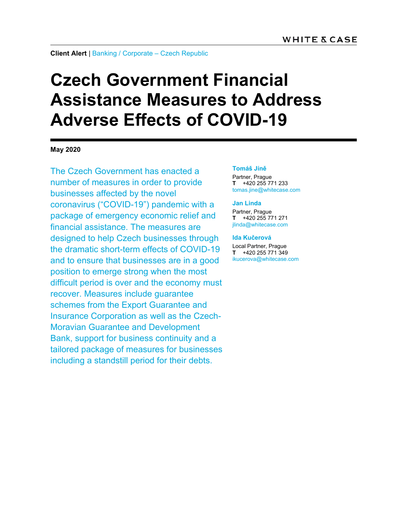### **Client Alert** | Banking / Corporate – Czech Republic

# **Czech Government Financial Assistance Measures to Address Adverse Effects of COVID-19**

**May 2020** 

The Czech Government has enacted a number of measures in order to provide businesses affected by the novel coronavirus ("COVID-19") pandemic with a package of emergency economic relief and financial assistance. The measures are designed to help Czech businesses through the dramatic short-term effects of COVID-19 and to ensure that businesses are in a good position to emerge strong when the most difficult period is over and the economy must recover. Measures include guarantee schemes from the Export Guarantee and Insurance Corporation as well as the Czech-Moravian Guarantee and Development Bank, support for business continuity and a tailored package of measures for businesses including a standstill period for their debts.

#### **Tomáš Jíně**

Partner, Prague **T** +420 255 771 233 tomas.jine@whitecase.com

#### **Jan Linda**

Partner, Prague **T** +420 255 771 271 jlinda@whitecase.com

### **Ida Kučerová**  Local Partner, Prague

**T** +420 255 771 349 ikucerova@whitecase.com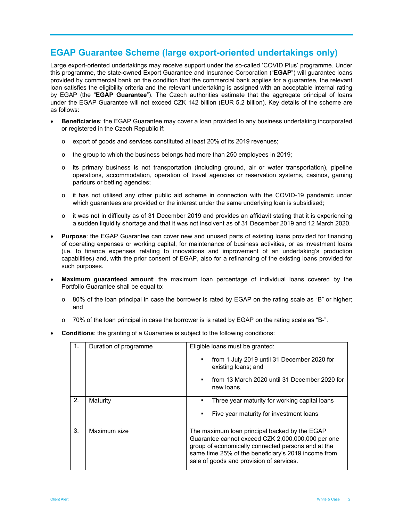# **EGAP Guarantee Scheme (large export-oriented undertakings only)**

Large export-oriented undertakings may receive support under the so-called 'COVID Plus' programme. Under this programme, the state-owned Export Guarantee and Insurance Corporation ("**EGAP**") will guarantee loans provided by commercial bank on the condition that the commercial bank applies for a guarantee, the relevant loan satisfies the eligibility criteria and the relevant undertaking is assigned with an acceptable internal rating by EGAP (the "**EGAP Guarantee**"). The Czech authorities estimate that the aggregate principal of loans under the EGAP Guarantee will not exceed CZK 142 billion (EUR 5.2 billion). Key details of the scheme are as follows:

- **Beneficiaries**: the EGAP Guarantee may cover a loan provided to any business undertaking incorporated or registered in the Czech Republic if:
	- o export of goods and services constituted at least 20% of its 2019 revenues;
	- o the group to which the business belongs had more than 250 employees in 2019;
	- o its primary business is not transportation (including ground, air or water transportation), pipeline operations, accommodation, operation of travel agencies or reservation systems, casinos, gaming parlours or betting agencies;
	- o it has not utilised any other public aid scheme in connection with the COVID-19 pandemic under which guarantees are provided or the interest under the same underlying loan is subsidised;
	- $\circ$  it was not in difficulty as of 31 December 2019 and provides an affidavit stating that it is experiencing a sudden liquidity shortage and that it was not insolvent as of 31 December 2019 and 12 March 2020.
- **Purpose**: the EGAP Guarantee can cover new and unused parts of existing loans provided for financing of operating expenses or working capital, for maintenance of business activities, or as investment loans (i.e. to finance expenses relating to innovations and improvement of an undertaking's production capabilities) and, with the prior consent of EGAP, also for a refinancing of the existing loans provided for such purposes.
- **Maximum guaranteed amount**: the maximum loan percentage of individual loans covered by the Portfolio Guarantee shall be equal to:
	- o 80% of the loan principal in case the borrower is rated by EGAP on the rating scale as "B" or higher; and
	- $\circ$  70% of the loan principal in case the borrower is is rated by EGAP on the rating scale as "B-".
- **Conditions**: the granting of a Guarantee is subject to the following conditions:

| 1. | Duration of programme | Eligible loans must be granted:<br>from 1 July 2019 until 31 December 2020 for<br>existing loans; and<br>from 13 March 2020 until 31 December 2020 for<br>new loans.                                                                                        |  |
|----|-----------------------|-------------------------------------------------------------------------------------------------------------------------------------------------------------------------------------------------------------------------------------------------------------|--|
| 2. | Maturity              | Three year maturity for working capital loans<br>Five year maturity for investment loans                                                                                                                                                                    |  |
| 3. | Maximum size          | The maximum loan principal backed by the EGAP<br>Guarantee cannot exceed CZK 2,000,000,000 per one<br>group of economically connected persons and at the<br>same time 25% of the beneficiary's 2019 income from<br>sale of goods and provision of services. |  |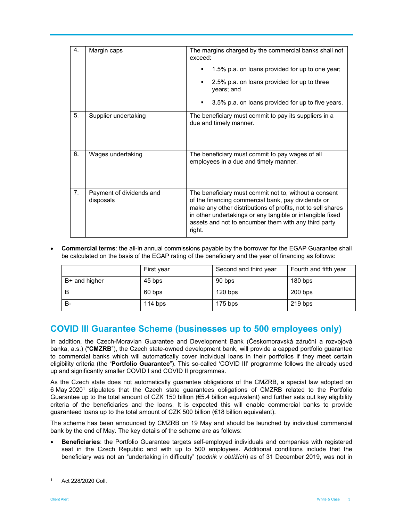| 4. | Margin caps                           | The margins charged by the commercial banks shall not<br>exceed:<br>1.5% p.a. on loans provided for up to one year;<br>2.5% p.a. on loans provided for up to three<br>٠<br>years; and<br>3.5% p.a. on loans provided for up to five years.<br>٠                                                           |
|----|---------------------------------------|-----------------------------------------------------------------------------------------------------------------------------------------------------------------------------------------------------------------------------------------------------------------------------------------------------------|
| 5. | Supplier undertaking                  | The beneficiary must commit to pay its suppliers in a<br>due and timely manner.                                                                                                                                                                                                                           |
| 6. | Wages undertaking                     | The beneficiary must commit to pay wages of all<br>employees in a due and timely manner.                                                                                                                                                                                                                  |
| 7. | Payment of dividends and<br>disposals | The beneficiary must commit not to, without a consent<br>of the financing commercial bank, pay dividends or<br>make any other distributions of profits, not to sell shares<br>in other undertakings or any tangible or intangible fixed<br>assets and not to encumber them with any third party<br>right. |

 **Commercial terms**: the all-in annual commissions payable by the borrower for the EGAP Guarantee shall be calculated on the basis of the EGAP rating of the beneficiary and the year of financing as follows:

|               | First year | Second and third year | Fourth and fifth year |
|---------------|------------|-----------------------|-----------------------|
| B+ and higher | 45 bps     | 90 bps                | $180$ bps             |
| В             | 60 bps     | $120$ bps             | $200$ bps             |
| B-            | 114 bps    | $175$ bps             | $219$ bps             |

# **COVID III Guarantee Scheme (businesses up to 500 employees only)**

In addition, the Czech-Moravian Guarantee and Development Bank (Českomoravská záruční a rozvojová banka, a.s.) ("**CMZRB**"), the Czech state-owned development bank, will provide a capped portfolio guarantee to commercial banks which will automatically cover individual loans in their portfolios if they meet certain eligibility criteria (the "**Portfolio Guarantee**"). This so-called 'COVID III' programme follows the already used up and significantly smaller COVID I and COVID II programmes.

As the Czech state does not automatically guarantee obligations of the CMZRB, a special law adopted on 6 May 20201 stipulates that the Czech state guarantees obligations of CMZRB related to the Portfolio Guarantee up to the total amount of CZK 150 billion (€5.4 billion equivalent) and further sets out key eligibility criteria of the beneficiaries and the loans. It is expected this will enable commercial banks to provide guaranteed loans up to the total amount of CZK 500 billion (€18 billion equivalent).

The scheme has been announced by CMZRB on 19 May and should be launched by individual commercial bank by the end of May. The key details of the scheme are as follows:

 **Beneficiaries**: the Portfolio Guarantee targets self-employed individuals and companies with registered seat in the Czech Republic and with up to 500 employees. Additional conditions include that the beneficiary was not an "undertaking in difficulty" (*podnik v obtížích*) as of 31 December 2019, was not in

 $\overline{a}$ 1 Act 228/2020 Coll.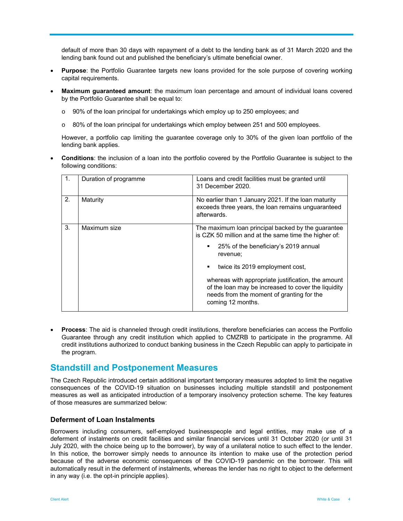default of more than 30 days with repayment of a debt to the lending bank as of 31 March 2020 and the lending bank found out and published the beneficiary's ultimate beneficial owner.

- **Purpose**: the Portfolio Guarantee targets new loans provided for the sole purpose of covering working capital requirements.
- **Maximum guaranteed amount**: the maximum loan percentage and amount of individual loans covered by the Portfolio Guarantee shall be equal to:
	- o 90% of the loan principal for undertakings which employ up to 250 employees; and
	- o 80% of the loan principal for undertakings which employ between 251 and 500 employees.

However, a portfolio cap limiting the guarantee coverage only to 30% of the given loan portfolio of the lending bank applies.

 **Conditions**: the inclusion of a loan into the portfolio covered by the Portfolio Guarantee is subject to the following conditions:

|    | Duration of programme | Loans and credit facilities must be granted until<br>31 December 2020.                                                                                                      |
|----|-----------------------|-----------------------------------------------------------------------------------------------------------------------------------------------------------------------------|
| 2. | Maturity              | No earlier than 1 January 2021. If the loan maturity<br>exceeds three years, the loan remains unguaranteed<br>afterwards.                                                   |
| 3. | Maximum size          | The maximum loan principal backed by the guarantee<br>is CZK 50 million and at the same time the higher of:                                                                 |
|    |                       | 25% of the beneficiary's 2019 annual<br>٠<br>revenue;                                                                                                                       |
|    |                       | twice its 2019 employment cost,<br>٠                                                                                                                                        |
|    |                       | whereas with appropriate justification, the amount<br>of the loan may be increased to cover the liquidity<br>needs from the moment of granting for the<br>coming 12 months. |

 **Process**: The aid is channeled through credit institutions, therefore beneficiaries can access the Portfolio Guarantee through any credit institution which applied to CMZRB to participate in the programme. All credit institutions authorized to conduct banking business in the Czech Republic can apply to participate in the program.

# **Standstill and Postponement Measures**

The Czech Republic introduced certain additional important temporary measures adopted to limit the negative consequences of the COVID-19 situation on businesses including multiple standstill and postponement measures as well as anticipated introduction of a temporary insolvency protection scheme. The key features of those measures are summarized below:

# **Deferment of Loan Instalments**

Borrowers including consumers, self-employed businesspeople and legal entities, may make use of a deferment of instalments on credit facilities and similar financial services until 31 October 2020 (or until 31 July 2020, with the choice being up to the borrower), by way of a unilateral notice to such effect to the lender. In this notice, the borrower simply needs to announce its intention to make use of the protection period because of the adverse economic consequences of the COVID-19 pandemic on the borrower. This will automatically result in the deferment of instalments, whereas the lender has no right to object to the deferment in any way (i.e. the opt-in principle applies).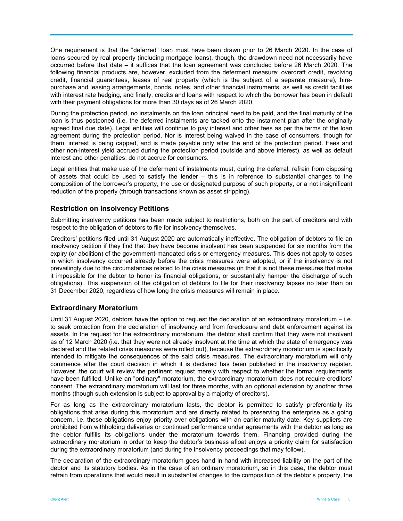One requirement is that the "deferred" loan must have been drawn prior to 26 March 2020. In the case of loans secured by real property (including mortgage loans), though, the drawdown need not necessarily have occurred before that date – it suffices that the loan agreement was concluded before 26 March 2020. The following financial products are, however, excluded from the deferment measure: overdraft credit, revolving credit, financial guarantees, leases of real property (which is the subject of a separate measure), hirepurchase and leasing arrangements, bonds, notes, and other financial instruments, as well as credit facilities with interest rate hedging, and finally, credits and loans with respect to which the borrower has been in default with their payment obligations for more than 30 days as of 26 March 2020.

During the protection period, no instalments on the loan principal need to be paid, and the final maturity of the loan is thus postponed (i.e. the deferred instalments are tacked onto the instalment plan after the originally agreed final due date). Legal entities will continue to pay interest and other fees as per the terms of the loan agreement during the protection period. Nor is interest being waived in the case of consumers, though for them, interest is being capped, and is made payable only after the end of the protection period. Fees and other non-interest yield accrued during the protection period (outside and above interest), as well as default interest and other penalties, do not accrue for consumers.

Legal entities that make use of the deferment of instalments must, during the deferral, refrain from disposing of assets that could be used to satisfy the lender – this is in reference to substantial changes to the composition of the borrower's property, the use or designated purpose of such property, or a not insignificant reduction of the property (through transactions known as asset stripping).

### **Restriction on Insolvency Petitions**

Submitting insolvency petitions has been made subject to restrictions, both on the part of creditors and with respect to the obligation of debtors to file for insolvency themselves.

Creditors' petitions filed until 31 August 2020 are automatically ineffective. The obligation of debtors to file an insolvency petition if they find that they have become insolvent has been suspended for six months from the expiry (or abolition) of the government-mandated crisis or emergency measures. This does not apply to cases in which insolvency occurred already before the crisis measures were adopted, or if the insolvency is not prevailingly due to the circumstances related to the crisis measures (in that it is not these measures that make it impossible for the debtor to honor its financial obligations, or substantially hamper the discharge of such obligations). This suspension of the obligation of debtors to file for their insolvency lapses no later than on 31 December 2020, regardless of how long the crisis measures will remain in place.

# **Extraordinary Moratorium**

Until 31 August 2020, debtors have the option to request the declaration of an extraordinary moratorium – i.e. to seek protection from the declaration of insolvency and from foreclosure and debt enforcement against its assets. In the request for the extraordinary moratorium, the debtor shall confirm that they were not insolvent as of 12 March 2020 (i.e. that they were not already insolvent at the time at which the state of emergency was declared and the related crisis measures were rolled out), because the extraordinary moratorium is specifically intended to mitigate the consequences of the said crisis measures. The extraordinary moratorium will only commence after the court decision in which it is declared has been published in the insolvency register. However, the court will review the pertinent request merely with respect to whether the formal requirements have been fulfilled. Unlike an "ordinary" moratorium, the extraordinary moratorium does not require creditors' consent. The extraordinary moratorium will last for three months, with an optional extension by another three months (though such extension is subject to approval by a majority of creditors).

For as long as the extraordinary moratorium lasts, the debtor is permitted to satisfy preferentially its obligations that arise during this moratorium and are directly related to preserving the enterprise as a going concern, i.e. these obligations enjoy priority over obligations with an earlier maturity date. Key suppliers are prohibited from withholding deliveries or continued performance under agreements with the debtor as long as the debtor fulfills its obligations under the moratorium towards them. Financing provided during the extraordinary moratorium in order to keep the debtor's business afloat enjoys a priority claim for satisfaction during the extraordinary moratorium (and during the insolvency proceedings that may follow).

The declaration of the extraordinary moratorium goes hand in hand with increased liability on the part of the debtor and its statutory bodies. As in the case of an ordinary moratorium, so in this case, the debtor must refrain from operations that would result in substantial changes to the composition of the debtor's property, the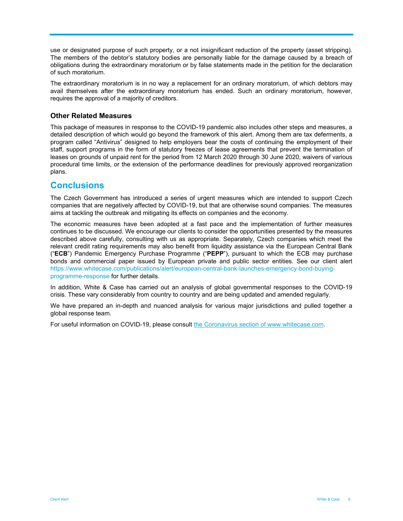use or designated purpose of such property, or a not insignificant reduction of the property (asset stripping). The members of the debtor's statutory bodies are personally liable for the damage caused by a breach of obligations during the extraordinary moratorium or by false statements made in the petition for the declaration of such moratorium.

The extraordinary moratorium is in no way a replacement for an ordinary moratorium, of which debtors may avail themselves after the extraordinary moratorium has ended. Such an ordinary moratorium, however, requires the approval of a majority of creditors.

# **Other Related Measures**

This package of measures in response to the COVID-19 pandemic also includes other steps and measures, a detailed description of which would go beyond the framework of this alert. Among them are tax deferments, a program called "Antivirus" designed to help employers bear the costs of continuing the employment of their staff, support programs in the form of statutory freezes of lease agreements that prevent the termination of leases on grounds of unpaid rent for the period from 12 March 2020 through 30 June 2020, waivers of various procedural time limits, or the extension of the performance deadlines for previously approved reorganization plans.

# **Conclusions**

The Czech Government has introduced a series of urgent measures which are intended to support Czech companies that are negatively affected by COVID-19, but that are otherwise sound companies. The measures aims at tackling the outbreak and mitigating its effects on companies and the economy.

The economic measures have been adopted at a fast pace and the implementation of further measures continues to be discussed. We encourage our clients to consider the opportunities presented by the measures described above carefully, consulting with us as appropriate. Separately, Czech companies which meet the relevant credit rating requirements may also benefit from liquidity assistance via the European Central Bank ("**ECB**") Pandemic Emergency Purchase Programme ("**PEPP**"), pursuant to which the ECB may purchase bonds and commercial paper issued by European private and public sector entities. See our client alert https://www.whitecase.com/publications/alert/european-central-bank-launches-emergency-bond-buyingprogramme-response for further details.

In addition, White & Case has carried out an analysis of global governmental responses to the COVID-19 crisis. These vary considerably from country to country and are being updated and amended regularly.

We have prepared an in-depth and nuanced analysis for various major jurisdictions and pulled together a global response team.

For useful information on COVID-19, please consult the Coronavirus section of www.whitecase.com.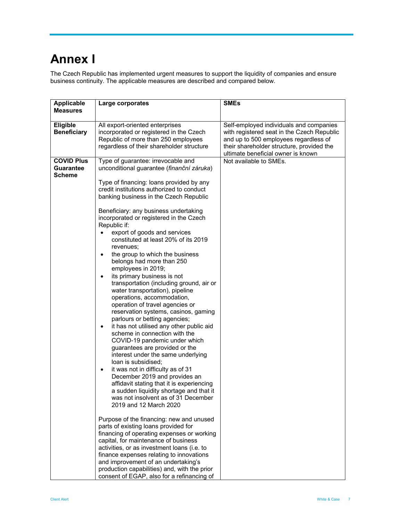# **Annex I**

The Czech Republic has implemented urgent measures to support the liquidity of companies and ensure business continuity. The applicable measures are described and compared below.

| <b>Applicable</b><br><b>Measures</b>            | Large corporates                                                                                                                                                                                                                                                                                                                                                                                                                                                                                                                                                                                                                                                                                                                                                                                                                                                                                                                                                                                                                                                                                                                                                                                                                                                                                                                                                                                                                                                                   | <b>SMEs</b>                                                                                                                                                                                                       |
|-------------------------------------------------|------------------------------------------------------------------------------------------------------------------------------------------------------------------------------------------------------------------------------------------------------------------------------------------------------------------------------------------------------------------------------------------------------------------------------------------------------------------------------------------------------------------------------------------------------------------------------------------------------------------------------------------------------------------------------------------------------------------------------------------------------------------------------------------------------------------------------------------------------------------------------------------------------------------------------------------------------------------------------------------------------------------------------------------------------------------------------------------------------------------------------------------------------------------------------------------------------------------------------------------------------------------------------------------------------------------------------------------------------------------------------------------------------------------------------------------------------------------------------------|-------------------------------------------------------------------------------------------------------------------------------------------------------------------------------------------------------------------|
| Eligible<br><b>Beneficiary</b>                  | All export-oriented enterprises<br>incorporated or registered in the Czech<br>Republic of more than 250 employees<br>regardless of their shareholder structure                                                                                                                                                                                                                                                                                                                                                                                                                                                                                                                                                                                                                                                                                                                                                                                                                                                                                                                                                                                                                                                                                                                                                                                                                                                                                                                     | Self-employed individuals and companies<br>with registered seat in the Czech Republic<br>and up to 500 employees regardless of<br>their shareholder structure, provided the<br>ultimate beneficial owner is known |
| <b>COVID Plus</b><br>Guarantee<br><b>Scheme</b> | Type of guarantee: irrevocable and<br>unconditional guarantee (finanční záruka)<br>Type of financing: loans provided by any<br>credit institutions authorized to conduct<br>banking business in the Czech Republic<br>Beneficiary: any business undertaking<br>incorporated or registered in the Czech<br>Republic if:<br>export of goods and services<br>constituted at least 20% of its 2019<br>revenues;<br>the group to which the business<br>$\bullet$<br>belongs had more than 250<br>employees in 2019;<br>its primary business is not<br>$\bullet$<br>transportation (including ground, air or<br>water transportation), pipeline<br>operations, accommodation,<br>operation of travel agencies or<br>reservation systems, casinos, gaming<br>parlours or betting agencies;<br>it has not utilised any other public aid<br>$\bullet$<br>scheme in connection with the<br>COVID-19 pandemic under which<br>guarantees are provided or the<br>interest under the same underlying<br>loan is subsidised;<br>it was not in difficulty as of 31<br>$\bullet$<br>December 2019 and provides an<br>affidavit stating that it is experiencing<br>a sudden liquidity shortage and that it<br>was not insolvent as of 31 December<br>2019 and 12 March 2020<br>Purpose of the financing: new and unused<br>parts of existing loans provided for<br>financing of operating expenses or working<br>capital, for maintenance of business<br>activities, or as investment loans (i.e. to | Not available to SMEs.                                                                                                                                                                                            |
|                                                 | finance expenses relating to innovations<br>and improvement of an undertaking's<br>production capabilities) and, with the prior<br>consent of EGAP, also for a refinancing of                                                                                                                                                                                                                                                                                                                                                                                                                                                                                                                                                                                                                                                                                                                                                                                                                                                                                                                                                                                                                                                                                                                                                                                                                                                                                                      |                                                                                                                                                                                                                   |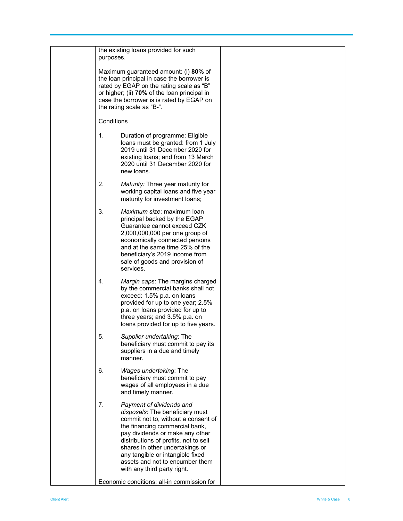|  | the existing loans provided for such<br>purposes.                                                                                                                                                                                                                                                                                                               |  |
|--|-----------------------------------------------------------------------------------------------------------------------------------------------------------------------------------------------------------------------------------------------------------------------------------------------------------------------------------------------------------------|--|
|  | Maximum guaranteed amount: (i) 80% of<br>the loan principal in case the borrower is<br>rated by EGAP on the rating scale as "B"<br>or higher; (ii) 70% of the loan principal in<br>case the borrower is is rated by EGAP on<br>the rating scale as "B-".                                                                                                        |  |
|  | Conditions                                                                                                                                                                                                                                                                                                                                                      |  |
|  | 1.<br>Duration of programme: Eligible<br>loans must be granted: from 1 July<br>2019 until 31 December 2020 for<br>existing loans; and from 13 March<br>2020 until 31 December 2020 for<br>new loans.                                                                                                                                                            |  |
|  | 2.<br>Maturity: Three year maturity for<br>working capital loans and five year<br>maturity for investment loans;                                                                                                                                                                                                                                                |  |
|  | 3.<br>Maximum size: maximum loan<br>principal backed by the EGAP<br>Guarantee cannot exceed CZK<br>2,000,000,000 per one group of<br>economically connected persons<br>and at the same time 25% of the<br>beneficiary's 2019 income from<br>sale of goods and provision of<br>services.                                                                         |  |
|  | 4.<br>Margin caps: The margins charged<br>by the commercial banks shall not<br>exceed: 1.5% p.a. on loans<br>provided for up to one year; 2.5%<br>p.a. on loans provided for up to<br>three years; and 3.5% p.a. on<br>loans provided for up to five years.                                                                                                     |  |
|  | Supplier undertaking: The<br>5.<br>beneficiary must commit to pay its<br>suppliers in a due and timely<br>manner.                                                                                                                                                                                                                                               |  |
|  | 6.<br>Wages undertaking: The<br>beneficiary must commit to pay<br>wages of all employees in a due<br>and timely manner.                                                                                                                                                                                                                                         |  |
|  | 7.<br>Payment of dividends and<br>disposals: The beneficiary must<br>commit not to, without a consent of<br>the financing commercial bank,<br>pay dividends or make any other<br>distributions of profits, not to sell<br>shares in other undertakings or<br>any tangible or intangible fixed<br>assets and not to encumber them<br>with any third party right. |  |
|  | Economic conditions: all-in commission for                                                                                                                                                                                                                                                                                                                      |  |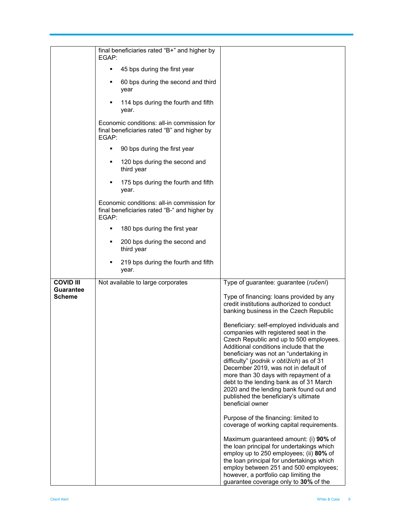|                               | final beneficiaries rated "B+" and higher by<br>EGAP:                                               |                                                                                                                                                                                                                                                                                                                                                                                                                                                                                                   |
|-------------------------------|-----------------------------------------------------------------------------------------------------|---------------------------------------------------------------------------------------------------------------------------------------------------------------------------------------------------------------------------------------------------------------------------------------------------------------------------------------------------------------------------------------------------------------------------------------------------------------------------------------------------|
|                               | 45 bps during the first year<br>٠                                                                   |                                                                                                                                                                                                                                                                                                                                                                                                                                                                                                   |
|                               | 60 bps during the second and third<br>٠<br>year                                                     |                                                                                                                                                                                                                                                                                                                                                                                                                                                                                                   |
|                               | 114 bps during the fourth and fifth<br>٠<br>year.                                                   |                                                                                                                                                                                                                                                                                                                                                                                                                                                                                                   |
|                               | Economic conditions: all-in commission for<br>final beneficiaries rated "B" and higher by<br>EGAP:  |                                                                                                                                                                                                                                                                                                                                                                                                                                                                                                   |
|                               | 90 bps during the first year<br>٠                                                                   |                                                                                                                                                                                                                                                                                                                                                                                                                                                                                                   |
|                               | 120 bps during the second and<br>٠<br>third year                                                    |                                                                                                                                                                                                                                                                                                                                                                                                                                                                                                   |
|                               | 175 bps during the fourth and fifth<br>٠<br>year.                                                   |                                                                                                                                                                                                                                                                                                                                                                                                                                                                                                   |
|                               | Economic conditions: all-in commission for<br>final beneficiaries rated "B-" and higher by<br>EGAP: |                                                                                                                                                                                                                                                                                                                                                                                                                                                                                                   |
|                               | 180 bps during the first year<br>٠                                                                  |                                                                                                                                                                                                                                                                                                                                                                                                                                                                                                   |
|                               | 200 bps during the second and<br>٠<br>third year                                                    |                                                                                                                                                                                                                                                                                                                                                                                                                                                                                                   |
|                               | 219 bps during the fourth and fifth<br>٠<br>year.                                                   |                                                                                                                                                                                                                                                                                                                                                                                                                                                                                                   |
| <b>COVID III</b><br>Guarantee | Not available to large corporates                                                                   | Type of guarantee: guarantee (ručení)                                                                                                                                                                                                                                                                                                                                                                                                                                                             |
| <b>Scheme</b>                 |                                                                                                     | Type of financing: loans provided by any<br>credit institutions authorized to conduct<br>banking business in the Czech Republic                                                                                                                                                                                                                                                                                                                                                                   |
|                               |                                                                                                     | Beneficiary: self-employed individuals and<br>companies with registered seat in the<br>Czech Republic and up to 500 employees.<br>Additional conditions include that the<br>beneficiary was not an "undertaking in<br>difficulty" (podnik v obtížích) as of 31<br>December 2019, was not in default of<br>more than 30 days with repayment of a<br>debt to the lending bank as of 31 March<br>2020 and the lending bank found out and<br>published the beneficiary's ultimate<br>beneficial owner |
|                               |                                                                                                     | Purpose of the financing: limited to<br>coverage of working capital requirements.                                                                                                                                                                                                                                                                                                                                                                                                                 |
|                               |                                                                                                     | Maximum guaranteed amount: (i) 90% of<br>the loan principal for undertakings which<br>employ up to 250 employees; (ii) 80% of<br>the loan principal for undertakings which<br>employ between 251 and 500 employees;<br>however, a portfolio cap limiting the<br>guarantee coverage only to 30% of the                                                                                                                                                                                             |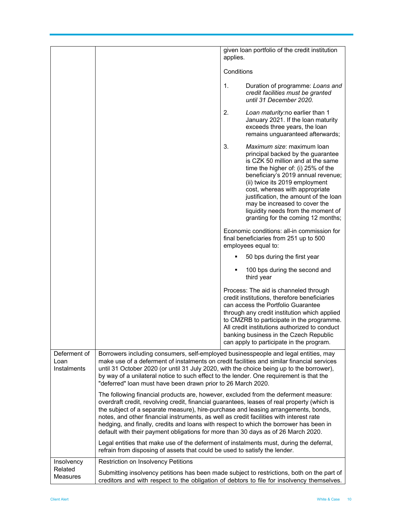|                                                                                                                                                                                                                                                                                                                                                                                                                                                                                 |                                                                                                                                                                                                                                                                                                                                                                                                                                                                                                                                                    | given loan portfolio of the credit institution                                                                                                                                                                                                                                                                                                                                                                      |  |
|---------------------------------------------------------------------------------------------------------------------------------------------------------------------------------------------------------------------------------------------------------------------------------------------------------------------------------------------------------------------------------------------------------------------------------------------------------------------------------|----------------------------------------------------------------------------------------------------------------------------------------------------------------------------------------------------------------------------------------------------------------------------------------------------------------------------------------------------------------------------------------------------------------------------------------------------------------------------------------------------------------------------------------------------|---------------------------------------------------------------------------------------------------------------------------------------------------------------------------------------------------------------------------------------------------------------------------------------------------------------------------------------------------------------------------------------------------------------------|--|
|                                                                                                                                                                                                                                                                                                                                                                                                                                                                                 |                                                                                                                                                                                                                                                                                                                                                                                                                                                                                                                                                    | applies.                                                                                                                                                                                                                                                                                                                                                                                                            |  |
|                                                                                                                                                                                                                                                                                                                                                                                                                                                                                 |                                                                                                                                                                                                                                                                                                                                                                                                                                                                                                                                                    | Conditions                                                                                                                                                                                                                                                                                                                                                                                                          |  |
|                                                                                                                                                                                                                                                                                                                                                                                                                                                                                 |                                                                                                                                                                                                                                                                                                                                                                                                                                                                                                                                                    | 1.<br>Duration of programme: Loans and<br>credit facilities must be granted<br>until 31 December 2020.                                                                                                                                                                                                                                                                                                              |  |
|                                                                                                                                                                                                                                                                                                                                                                                                                                                                                 |                                                                                                                                                                                                                                                                                                                                                                                                                                                                                                                                                    | 2.<br>Loan maturity:no earlier than 1<br>January 2021. If the loan maturity<br>exceeds three years, the loan<br>remains unguaranteed afterwards;                                                                                                                                                                                                                                                                    |  |
|                                                                                                                                                                                                                                                                                                                                                                                                                                                                                 |                                                                                                                                                                                                                                                                                                                                                                                                                                                                                                                                                    | 3.<br>Maximum size: maximum loan<br>principal backed by the guarantee<br>is CZK 50 million and at the same<br>time the higher of: (i) $25\%$ of the<br>beneficiary's 2019 annual revenue;<br>(ii) twice its 2019 employment<br>cost, whereas with appropriate<br>justification, the amount of the loan<br>may be increased to cover the<br>liquidity needs from the moment of<br>granting for the coming 12 months; |  |
|                                                                                                                                                                                                                                                                                                                                                                                                                                                                                 |                                                                                                                                                                                                                                                                                                                                                                                                                                                                                                                                                    | Economic conditions: all-in commission for<br>final beneficiaries from 251 up to 500<br>employees equal to:                                                                                                                                                                                                                                                                                                         |  |
|                                                                                                                                                                                                                                                                                                                                                                                                                                                                                 |                                                                                                                                                                                                                                                                                                                                                                                                                                                                                                                                                    | 50 bps during the first year                                                                                                                                                                                                                                                                                                                                                                                        |  |
|                                                                                                                                                                                                                                                                                                                                                                                                                                                                                 |                                                                                                                                                                                                                                                                                                                                                                                                                                                                                                                                                    | 100 bps during the second and<br>third year                                                                                                                                                                                                                                                                                                                                                                         |  |
|                                                                                                                                                                                                                                                                                                                                                                                                                                                                                 |                                                                                                                                                                                                                                                                                                                                                                                                                                                                                                                                                    | Process: The aid is channeled through<br>credit institutions, therefore beneficiaries<br>can access the Portfolio Guarantee<br>through any credit institution which applied<br>to CMZRB to participate in the programme.<br>All credit institutions authorized to conduct<br>banking business in the Czech Republic<br>can apply to participate in the program.                                                     |  |
| Deferment of<br>Borrowers including consumers, self-employed businesspeople and legal entities, may<br>make use of a deferment of instalments on credit facilities and similar financial services<br>Loan<br>until 31 October 2020 (or until 31 July 2020, with the choice being up to the borrower),<br>Instalments<br>by way of a unilateral notice to such effect to the lender. One requirement is that the<br>"deferred" loan must have been drawn prior to 26 March 2020. |                                                                                                                                                                                                                                                                                                                                                                                                                                                                                                                                                    |                                                                                                                                                                                                                                                                                                                                                                                                                     |  |
|                                                                                                                                                                                                                                                                                                                                                                                                                                                                                 | The following financial products are, however, excluded from the deferment measure:<br>overdraft credit, revolving credit, financial guarantees, leases of real property (which is<br>the subject of a separate measure), hire-purchase and leasing arrangements, bonds,<br>notes, and other financial instruments, as well as credit facilities with interest rate<br>hedging, and finally, credits and loans with respect to which the borrower has been in<br>default with their payment obligations for more than 30 days as of 26 March 2020. |                                                                                                                                                                                                                                                                                                                                                                                                                     |  |
|                                                                                                                                                                                                                                                                                                                                                                                                                                                                                 | Legal entities that make use of the deferment of instalments must, during the deferral,<br>refrain from disposing of assets that could be used to satisfy the lender.                                                                                                                                                                                                                                                                                                                                                                              |                                                                                                                                                                                                                                                                                                                                                                                                                     |  |
| Insolvency<br>Related                                                                                                                                                                                                                                                                                                                                                                                                                                                           | <b>Restriction on Insolvency Petitions</b>                                                                                                                                                                                                                                                                                                                                                                                                                                                                                                         |                                                                                                                                                                                                                                                                                                                                                                                                                     |  |
| Measures                                                                                                                                                                                                                                                                                                                                                                                                                                                                        |                                                                                                                                                                                                                                                                                                                                                                                                                                                                                                                                                    | Submitting insolvency petitions has been made subject to restrictions, both on the part of<br>creditors and with respect to the obligation of debtors to file for insolvency themselves.                                                                                                                                                                                                                            |  |